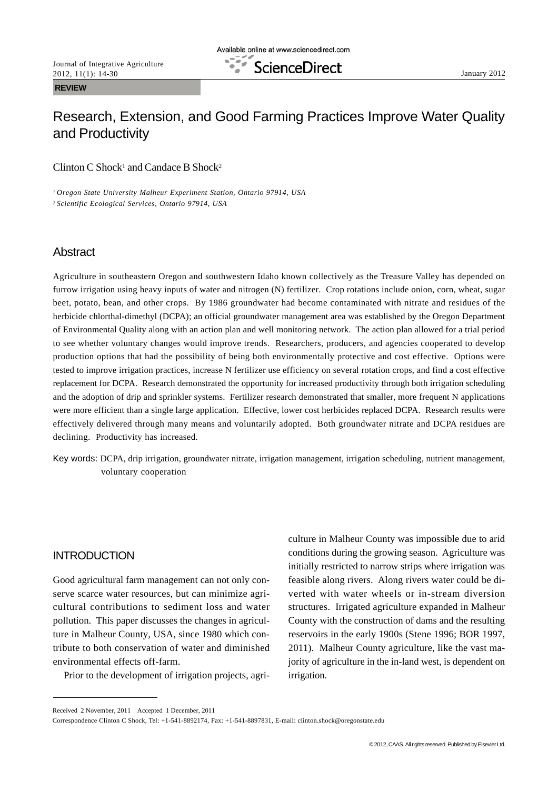# Research, Extension, and Good Farming Practices Improve Water Quality and Productivity

Clinton C Shock<sup>1</sup> and Candace B Shock<sup>2</sup>

*<sup>1</sup> Oregon State University Malheur Experiment Station, Ontario 97914, USA <sup>2</sup> Scientific Ecological Services, Ontario 97914, USA*

# **Abstract**

Agriculture in southeastern Oregon and southwestern Idaho known collectively as the Treasure Valley has depended on furrow irrigation using heavy inputs of water and nitrogen (N) fertilizer. Crop rotations include onion, corn, wheat, sugar beet, potato, bean, and other crops. By 1986 groundwater had become contaminated with nitrate and residues of the herbicide chlorthal-dimethyl (DCPA); an official groundwater management area was established by the Oregon Department of Environmental Quality along with an action plan and well monitoring network. The action plan allowed for a trial period to see whether voluntary changes would improve trends. Researchers, producers, and agencies cooperated to develop production options that had the possibility of being both environmentally protective and cost effective. Options were tested to improve irrigation practices, increase N fertilizer use efficiency on several rotation crops, and find a cost effective replacement for DCPA. Research demonstrated the opportunity for increased productivity through both irrigation scheduling and the adoption of drip and sprinkler systems. Fertilizer research demonstrated that smaller, more frequent N applications were more efficient than a single large application. Effective, lower cost herbicides replaced DCPA. Research results were effectively delivered through many means and voluntarily adopted. Both groundwater nitrate and DCPA residues are declining. Productivity has increased.

Key words: DCPA, drip irrigation, groundwater nitrate, irrigation management, irrigation scheduling, nutrient management, voluntary cooperation

# INTRODUCTION

Good agricultural farm management can not only conserve scarce water resources, but can minimize agricultural contributions to sediment loss and water pollution. This paper discusses the changes in agriculture in Malheur County, USA, since 1980 which contribute to both conservation of water and diminished environmental effects off-farm.

Prior to the development of irrigation projects, agri-

culture in Malheur County was impossible due to arid conditions during the growing season. Agriculture was initially restricted to narrow strips where irrigation was feasible along rivers. Along rivers water could be diverted with water wheels or in-stream diversion structures. Irrigated agriculture expanded in Malheur County with the construction of dams and the resulting reservoirs in the early 1900s (Stene 1996; BOR 1997, 2011). Malheur County agriculture, like the vast majority of agriculture in the in-land west, is dependent on irrigation.

Received 2 November, 2011 Accepted 1 December, 2011

Correspondence Clinton C Shock, Tel: +1-541-8892174, Fax: +1-541-8897831, E-mail: clinton.shock@oregonstate.edu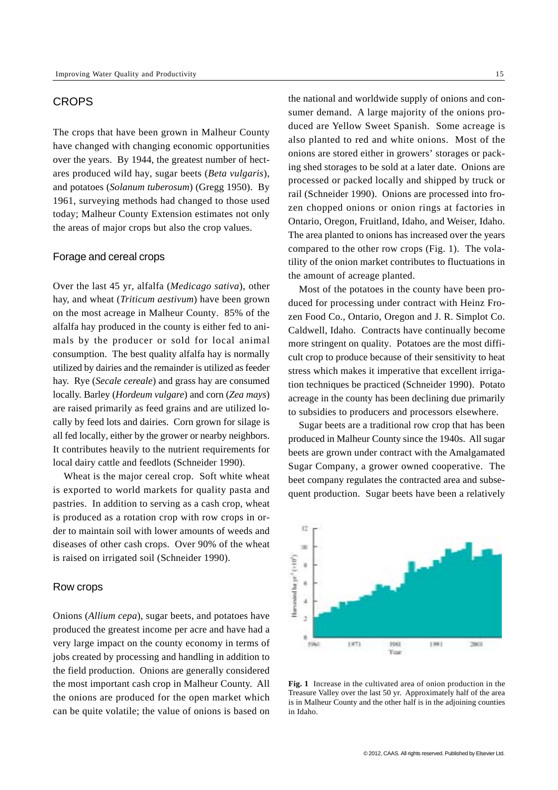## **CROPS**

The crops that have been grown in Malheur County have changed with changing economic opportunities over the years. By 1944, the greatest number of hectares produced wild hay, sugar beets (*Beta vulgaris*), and potatoes (*Solanum tuberosum*) (Gregg 1950). By 1961, surveying methods had changed to those used today; Malheur County Extension estimates not only the areas of major crops but also the crop values.

### Forage and cereal crops

Over the last 45 yr, alfalfa (*Medicago sativa*), other hay, and wheat (*Triticum aestivum*) have been grown on the most acreage in Malheur County. 85% of the alfalfa hay produced in the county is either fed to animals by the producer or sold for local animal consumption. The best quality alfalfa hay is normally utilized by dairies and the remainder is utilized as feeder hay. Rye (*Secale cereale*) and grass hay are consumed locally. Barley (*Hordeum vulgare*) and corn (*Zea mays*) are raised primarily as feed grains and are utilized locally by feed lots and dairies. Corn grown for silage is all fed locally, either by the grower or nearby neighbors. It contributes heavily to the nutrient requirements for local dairy cattle and feedlots (Schneider 1990).

Wheat is the major cereal crop. Soft white wheat is exported to world markets for quality pasta and pastries. In addition to serving as a cash crop, wheat is produced as a rotation crop with row crops in order to maintain soil with lower amounts of weeds and diseases of other cash crops. Over 90% of the wheat is raised on irrigated soil (Schneider 1990).

#### Row crops

Onions (*Allium cepa*), sugar beets, and potatoes have produced the greatest income per acre and have had a very large impact on the county economy in terms of jobs created by processing and handling in addition to the field production. Onions are generally considered the most important cash crop in Malheur County. All the onions are produced for the open market which can be quite volatile; the value of onions is based on

the national and worldwide supply of onions and consumer demand. A large majority of the onions produced are Yellow Sweet Spanish. Some acreage is also planted to red and white onions. Most of the onions are stored either in growers' storages or packing shed storages to be sold at a later date. Onions are processed or packed locally and shipped by truck or rail (Schneider 1990). Onions are processed into frozen chopped onions or onion rings at factories in Ontario, Oregon, Fruitland, Idaho, and Weiser, Idaho. The area planted to onions has increased over the years compared to the other row crops (Fig. 1). The volatility of the onion market contributes to fluctuations in the amount of acreage planted.

Most of the potatoes in the county have been produced for processing under contract with Heinz Frozen Food Co., Ontario, Oregon and J. R. Simplot Co. Caldwell, Idaho. Contracts have continually become more stringent on quality. Potatoes are the most difficult crop to produce because of their sensitivity to heat stress which makes it imperative that excellent irrigation techniques be practiced (Schneider 1990). Potato acreage in the county has been declining due primarily to subsidies to producers and processors elsewhere.

Sugar beets are a traditional row crop that has been produced in Malheur County since the 1940s. All sugar beets are grown under contract with the Amalgamated Sugar Company, a grower owned cooperative. The beet company regulates the contracted area and subsequent production. Sugar beets have been a relatively



**Fig. 1** Increase in the cultivated area of onion production in the Treasure Valley over the last 50 yr. Approximately half of the area is in Malheur County and the other half is in the adjoining counties in Idaho.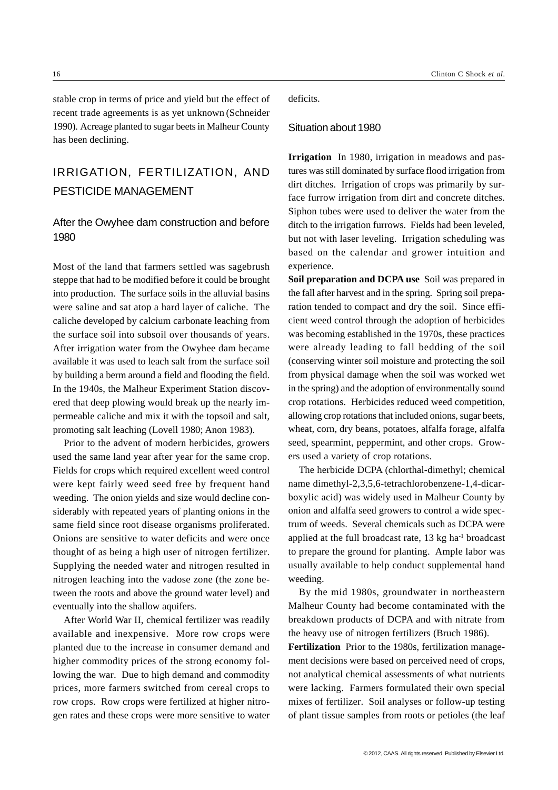stable crop in terms of price and yield but the effect of recent trade agreements is as yet unknown (Schneider 1990). Acreage planted to sugar beets in Malheur County has been declining.

# IRRIGATION, FERTILIZATION, AND PESTICIDE MANAGEMENT

# After the Owyhee dam construction and before 1980

Most of the land that farmers settled was sagebrush steppe that had to be modified before it could be brought into production. The surface soils in the alluvial basins were saline and sat atop a hard layer of caliche. The caliche developed by calcium carbonate leaching from the surface soil into subsoil over thousands of years. After irrigation water from the Owyhee dam became available it was used to leach salt from the surface soil by building a berm around a field and flooding the field. In the 1940s, the Malheur Experiment Station discovered that deep plowing would break up the nearly impermeable caliche and mix it with the topsoil and salt, promoting salt leaching (Lovell 1980; Anon 1983).

Prior to the advent of modern herbicides, growers used the same land year after year for the same crop. Fields for crops which required excellent weed control were kept fairly weed seed free by frequent hand weeding. The onion yields and size would decline considerably with repeated years of planting onions in the same field since root disease organisms proliferated. Onions are sensitive to water deficits and were once thought of as being a high user of nitrogen fertilizer. Supplying the needed water and nitrogen resulted in nitrogen leaching into the vadose zone (the zone between the roots and above the ground water level) and eventually into the shallow aquifers.

After World War II, chemical fertilizer was readily available and inexpensive. More row crops were planted due to the increase in consumer demand and higher commodity prices of the strong economy following the war. Due to high demand and commodity prices, more farmers switched from cereal crops to row crops. Row crops were fertilized at higher nitrogen rates and these crops were more sensitive to water deficits.

#### Situation about 1980

**Irrigation**In 1980, irrigation in meadows and pastures was still dominated by surface flood irrigation from dirt ditches. Irrigation of crops was primarily by surface furrow irrigation from dirt and concrete ditches. Siphon tubes were used to deliver the water from the ditch to the irrigation furrows. Fields had been leveled, but not with laser leveling. Irrigation scheduling was based on the calendar and grower intuition and experience.

**Soil preparation and DCPA use**Soil was prepared in the fall after harvest and in the spring. Spring soil preparation tended to compact and dry the soil. Since efficient weed control through the adoption of herbicides was becoming established in the 1970s, these practices were already leading to fall bedding of the soil (conserving winter soil moisture and protecting the soil from physical damage when the soil was worked wet in the spring) and the adoption of environmentally sound crop rotations. Herbicides reduced weed competition, allowing crop rotations that included onions, sugar beets, wheat, corn, dry beans, potatoes, alfalfa forage, alfalfa seed, spearmint, peppermint, and other crops. Growers used a variety of crop rotations.

The herbicide DCPA (chlorthal-dimethyl; chemical name dimethyl-2,3,5,6-tetrachlorobenzene-1,4-dicarboxylic acid) was widely used in Malheur County by onion and alfalfa seed growers to control a wide spectrum of weeds. Several chemicals such as DCPA were applied at the full broadcast rate,  $13 \text{ kg}$  ha<sup>-1</sup> broadcast to prepare the ground for planting. Ample labor was usually available to help conduct supplemental hand weeding.

By the mid 1980s, groundwater in northeastern Malheur County had become contaminated with the breakdown products of DCPA and with nitrate from the heavy use of nitrogen fertilizers (Bruch 1986).

**Fertilization** Prior to the 1980s, fertilization management decisions were based on perceived need of crops, not analytical chemical assessments of what nutrients were lacking. Farmers formulated their own special mixes of fertilizer. Soil analyses or follow-up testing of plant tissue samples from roots or petioles (the leaf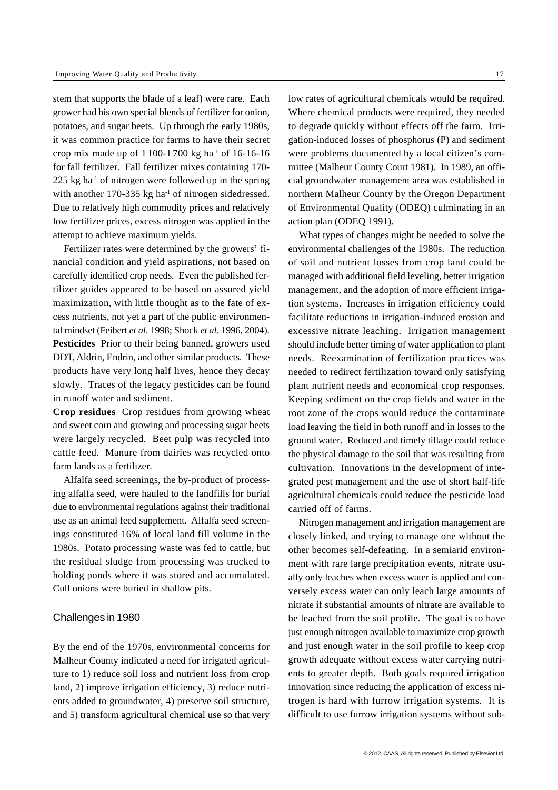stem that supports the blade of a leaf) were rare. Each grower had his own special blends of fertilizer for onion, potatoes, and sugar beets. Up through the early 1980s, it was common practice for farms to have their secret crop mix made up of  $1100-1700$  kg ha<sup>-1</sup> of 16-16-16 for fall fertilizer. Fall fertilizer mixes containing 170-  $225$  kg ha<sup>-1</sup> of nitrogen were followed up in the spring with another  $170-335$  kg ha<sup>-1</sup> of nitrogen sidedressed. Due to relatively high commodity prices and relatively low fertilizer prices, excess nitrogen was applied in the attempt to achieve maximum yields.

Fertilizer rates were determined by the growers' financial condition and yield aspirations, not based on carefully identified crop needs. Even the published fertilizer guides appeared to be based on assured yield maximization, with little thought as to the fate of excess nutrients, not yet a part of the public environmental mindset (Feibert *et al*. 1998; Shock *et al*. 1996, 2004). **Pesticides** Prior to their being banned, growers used DDT, Aldrin, Endrin, and other similar products. These products have very long half lives, hence they decay slowly. Traces of the legacy pesticides can be found in runoff water and sediment.

**Crop residues** Crop residues from growing wheat and sweet corn and growing and processing sugar beets were largely recycled. Beet pulp was recycled into cattle feed. Manure from dairies was recycled onto farm lands as a fertilizer.

Alfalfa seed screenings, the by-product of processing alfalfa seed, were hauled to the landfills for burial due to environmental regulations against their traditional use as an animal feed supplement. Alfalfa seed screenings constituted 16% of local land fill volume in the 1980s. Potato processing waste was fed to cattle, but the residual sludge from processing was trucked to holding ponds where it was stored and accumulated. Cull onions were buried in shallow pits.

#### Challenges in 1980

By the end of the 1970s, environmental concerns for Malheur County indicated a need for irrigated agriculture to 1) reduce soil loss and nutrient loss from crop land, 2) improve irrigation efficiency, 3) reduce nutrients added to groundwater, 4) preserve soil structure, and 5) transform agricultural chemical use so that very

low rates of agricultural chemicals would be required. Where chemical products were required, they needed to degrade quickly without effects off the farm. Irrigation-induced losses of phosphorus (P) and sediment were problems documented by a local citizen's committee (Malheur County Court 1981). In 1989, an official groundwater management area was established in northern Malheur County by the Oregon Department of Environmental Quality (ODEQ) culminating in an action plan (ODEQ 1991).

What types of changes might be needed to solve the environmental challenges of the 1980s. The reduction of soil and nutrient losses from crop land could be managed with additional field leveling, better irrigation management, and the adoption of more efficient irrigation systems. Increases in irrigation efficiency could facilitate reductions in irrigation-induced erosion and excessive nitrate leaching. Irrigation management should include better timing of water application to plant needs. Reexamination of fertilization practices was needed to redirect fertilization toward only satisfying plant nutrient needs and economical crop responses. Keeping sediment on the crop fields and water in the root zone of the crops would reduce the contaminate load leaving the field in both runoff and in losses to the ground water. Reduced and timely tillage could reduce the physical damage to the soil that was resulting from cultivation. Innovations in the development of integrated pest management and the use of short half-life agricultural chemicals could reduce the pesticide load carried off of farms.

Nitrogen management and irrigation management are closely linked, and trying to manage one without the other becomes self-defeating. In a semiarid environment with rare large precipitation events, nitrate usually only leaches when excess water is applied and conversely excess water can only leach large amounts of nitrate if substantial amounts of nitrate are available to be leached from the soil profile. The goal is to have just enough nitrogen available to maximize crop growth and just enough water in the soil profile to keep crop growth adequate without excess water carrying nutrients to greater depth. Both goals required irrigation innovation since reducing the application of excess nitrogen is hard with furrow irrigation systems. It is difficult to use furrow irrigation systems without sub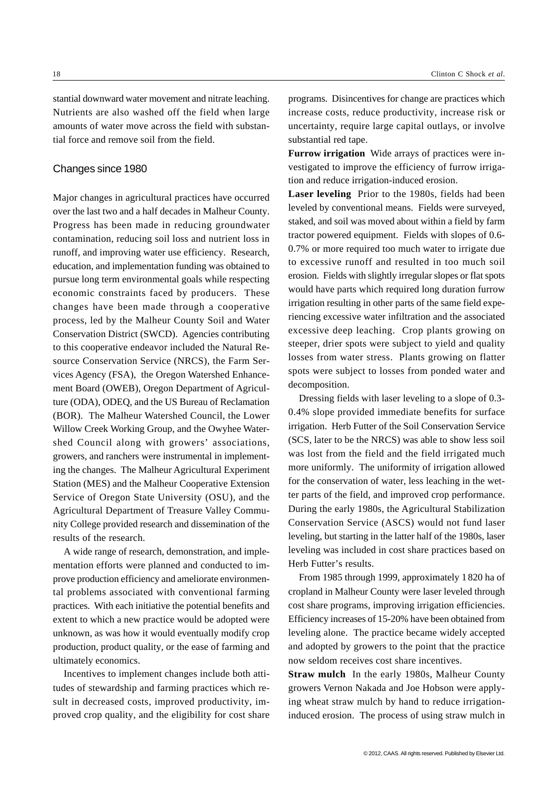stantial downward water movement and nitrate leaching. Nutrients are also washed off the field when large amounts of water move across the field with substantial force and remove soil from the field.

## Changes since 1980

Major changes in agricultural practices have occurred over the last two and a half decades in Malheur County. Progress has been made in reducing groundwater contamination, reducing soil loss and nutrient loss in runoff, and improving water use efficiency. Research, education, and implementation funding was obtained to pursue long term environmental goals while respecting economic constraints faced by producers. These changes have been made through a cooperative process, led by the Malheur County Soil and Water Conservation District (SWCD). Agencies contributing to this cooperative endeavor included the Natural Resource Conservation Service (NRCS), the Farm Services Agency (FSA), the Oregon Watershed Enhancement Board (OWEB), Oregon Department of Agriculture (ODA), ODEQ, and the US Bureau of Reclamation (BOR). The Malheur Watershed Council, the Lower Willow Creek Working Group, and the Owyhee Watershed Council along with growers' associations, growers, and ranchers were instrumental in implementing the changes. The Malheur Agricultural Experiment Station (MES) and the Malheur Cooperative Extension Service of Oregon State University (OSU), and the Agricultural Department of Treasure Valley Community College provided research and dissemination of the results of the research.

A wide range of research, demonstration, and implementation efforts were planned and conducted to improve production efficiency and ameliorate environmental problems associated with conventional farming practices. With each initiative the potential benefits and extent to which a new practice would be adopted were unknown, as was how it would eventually modify crop production, product quality, or the ease of farming and ultimately economics.

Incentives to implement changes include both attitudes of stewardship and farming practices which result in decreased costs, improved productivity, improved crop quality, and the eligibility for cost share programs. Disincentives for change are practices which increase costs, reduce productivity, increase risk or uncertainty, require large capital outlays, or involve substantial red tape.

**Furrow irrigation** Wide arrays of practices were investigated to improve the efficiency of furrow irrigation and reduce irrigation-induced erosion.

**Laser leveling**Prior to the 1980s, fields had been leveled by conventional means. Fields were surveyed, staked, and soil was moved about within a field by farm tractor powered equipment. Fields with slopes of 0.6- 0.7% or more required too much water to irrigate due to excessive runoff and resulted in too much soil erosion. Fields with slightly irregular slopes or flat spots would have parts which required long duration furrow irrigation resulting in other parts of the same field experiencing excessive water infiltration and the associated excessive deep leaching. Crop plants growing on steeper, drier spots were subject to yield and quality losses from water stress. Plants growing on flatter spots were subject to losses from ponded water and decomposition.

Dressing fields with laser leveling to a slope of 0.3- 0.4% slope provided immediate benefits for surface irrigation. Herb Futter of the Soil Conservation Service (SCS, later to be the NRCS) was able to show less soil was lost from the field and the field irrigated much more uniformly. The uniformity of irrigation allowed for the conservation of water, less leaching in the wetter parts of the field, and improved crop performance. During the early 1980s, the Agricultural Stabilization Conservation Service (ASCS) would not fund laser leveling, but starting in the latter half of the 1980s, laser leveling was included in cost share practices based on Herb Futter's results.

From 1985 through 1999, approximately 1 820 ha of cropland in Malheur County were laser leveled through cost share programs, improving irrigation efficiencies. Efficiency increases of 15-20% have been obtained from leveling alone. The practice became widely accepted and adopted by growers to the point that the practice now seldom receives cost share incentives.

**Straw mulch**In the early 1980s, Malheur County growers Vernon Nakada and Joe Hobson were applying wheat straw mulch by hand to reduce irrigationinduced erosion. The process of using straw mulch in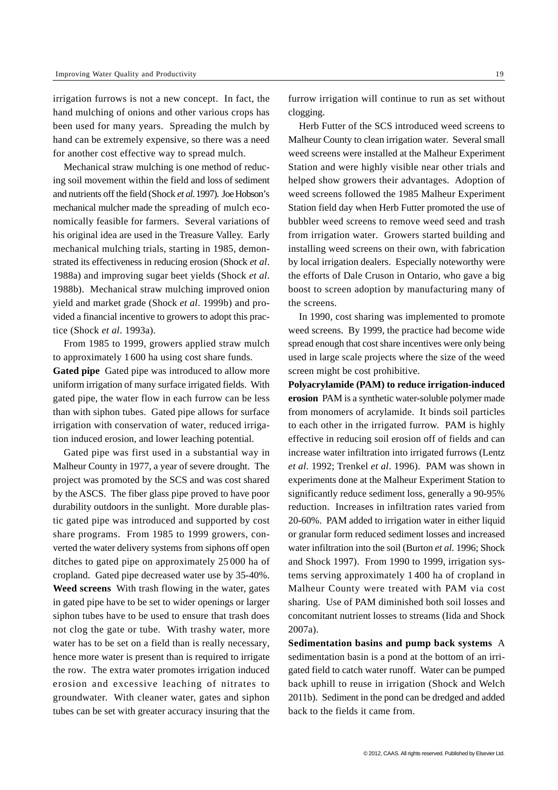irrigation furrows is not a new concept. In fact, the hand mulching of onions and other various crops has been used for many years. Spreading the mulch by hand can be extremely expensive, so there was a need for another cost effective way to spread mulch.

Mechanical straw mulching is one method of reducing soil movement within the field and loss of sediment and nutrients off the field (Shock *et al*. 1997). Joe Hobson's mechanical mulcher made the spreading of mulch economically feasible for farmers. Several variations of his original idea are used in the Treasure Valley. Early mechanical mulching trials, starting in 1985, demonstrated its effectiveness in reducing erosion (Shock *et al*. 1988a) and improving sugar beet yields (Shock *et al*. 1988b). Mechanical straw mulching improved onion yield and market grade (Shock *et al*. 1999b) and provided a financial incentive to growers to adopt this practice (Shock *et al*. 1993a).

From 1985 to 1999, growers applied straw mulch to approximately 1 600 ha using cost share funds.

**Gated pipe** Gated pipe was introduced to allow more uniform irrigation of many surface irrigated fields. With gated pipe, the water flow in each furrow can be less than with siphon tubes. Gated pipe allows for surface irrigation with conservation of water, reduced irrigation induced erosion, and lower leaching potential.

Gated pipe was first used in a substantial way in Malheur County in 1977, a year of severe drought. The project was promoted by the SCS and was cost shared by the ASCS. The fiber glass pipe proved to have poor durability outdoors in the sunlight. More durable plastic gated pipe was introduced and supported by cost share programs. From 1985 to 1999 growers, converted the water delivery systems from siphons off open ditches to gated pipe on approximately 25 000 ha of cropland. Gated pipe decreased water use by 35-40%. **Weed screens** With trash flowing in the water, gates in gated pipe have to be set to wider openings or larger siphon tubes have to be used to ensure that trash does not clog the gate or tube. With trashy water, more water has to be set on a field than is really necessary, hence more water is present than is required to irrigate the row. The extra water promotes irrigation induced erosion and excessive leaching of nitrates to groundwater. With cleaner water, gates and siphon tubes can be set with greater accuracy insuring that the

furrow irrigation will continue to run as set without clogging.

Herb Futter of the SCS introduced weed screens to Malheur County to clean irrigation water. Several small weed screens were installed at the Malheur Experiment Station and were highly visible near other trials and helped show growers their advantages. Adoption of weed screens followed the 1985 Malheur Experiment Station field day when Herb Futter promoted the use of bubbler weed screens to remove weed seed and trash from irrigation water. Growers started building and installing weed screens on their own, with fabrication by local irrigation dealers. Especially noteworthy were the efforts of Dale Cruson in Ontario, who gave a big boost to screen adoption by manufacturing many of the screens.

In 1990, cost sharing was implemented to promote weed screens. By 1999, the practice had become wide spread enough that cost share incentives were only being used in large scale projects where the size of the weed screen might be cost prohibitive.

**Polyacrylamide (PAM) to reduce irrigation-induced erosion** PAM is a synthetic water-soluble polymer made from monomers of acrylamide. It binds soil particles to each other in the irrigated furrow. PAM is highly effective in reducing soil erosion off of fields and can increase water infiltration into irrigated furrows (Lentz *et al*. 1992; Trenkel *et al*. 1996). PAM was shown in experiments done at the Malheur Experiment Station to significantly reduce sediment loss, generally a 90-95% reduction. Increases in infiltration rates varied from 20-60%. PAM added to irrigation water in either liquid or granular form reduced sediment losses and increased water infiltration into the soil (Burton *et al*. 1996; Shock and Shock 1997). From 1990 to 1999, irrigation systems serving approximately 1 400 ha of cropland in Malheur County were treated with PAM via cost sharing. Use of PAM diminished both soil losses and concomitant nutrient losses to streams (Iida and Shock 2007a).

**Sedimentation basins and pump back systems** A sedimentation basin is a pond at the bottom of an irrigated field to catch water runoff. Water can be pumped back uphill to reuse in irrigation (Shock and Welch 2011b). Sediment in the pond can be dredged and added back to the fields it came from.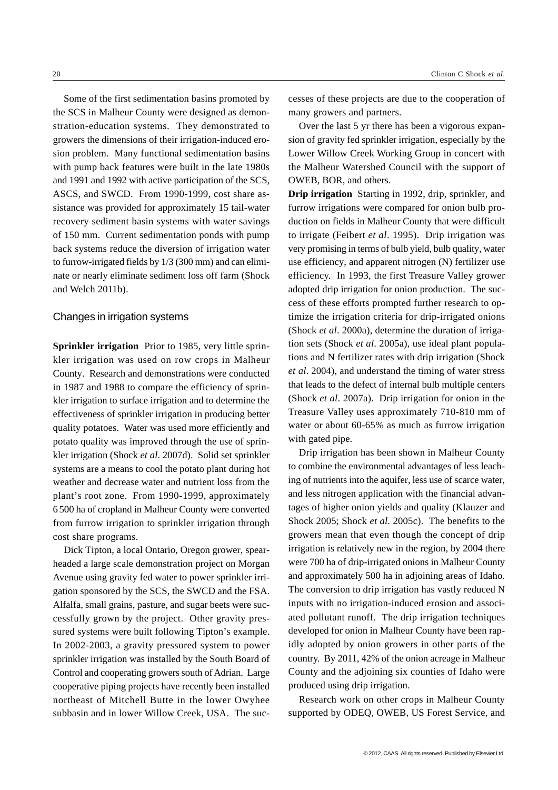Some of the first sedimentation basins promoted by the SCS in Malheur County were designed as demonstration-education systems. They demonstrated to growers the dimensions of their irrigation-induced erosion problem. Many functional sedimentation basins with pump back features were built in the late 1980s and 1991 and 1992 with active participation of the SCS, ASCS, and SWCD. From 1990-1999, cost share assistance was provided for approximately 15 tail-water recovery sediment basin systems with water savings of 150 mm. Current sedimentation ponds with pump back systems reduce the diversion of irrigation water to furrow-irrigated fields by 1/3 (300 mm) and can eliminate or nearly eliminate sediment loss off farm (Shock and Welch 2011b).

## Changes in irrigation systems

**Sprinkler irrigation** Prior to 1985, very little sprinkler irrigation was used on row crops in Malheur County. Research and demonstrations were conducted in 1987 and 1988 to compare the efficiency of sprinkler irrigation to surface irrigation and to determine the effectiveness of sprinkler irrigation in producing better quality potatoes. Water was used more efficiently and potato quality was improved through the use of sprinkler irrigation (Shock *et al*. 2007d). Solid set sprinkler systems are a means to cool the potato plant during hot weather and decrease water and nutrient loss from the plant's root zone. From 1990-1999, approximately 6 500 ha of cropland in Malheur County were converted from furrow irrigation to sprinkler irrigation through cost share programs.

Dick Tipton, a local Ontario, Oregon grower, spearheaded a large scale demonstration project on Morgan Avenue using gravity fed water to power sprinkler irrigation sponsored by the SCS, the SWCD and the FSA. Alfalfa, small grains, pasture, and sugar beets were successfully grown by the project. Other gravity pressured systems were built following Tipton's example. In 2002-2003, a gravity pressured system to power sprinkler irrigation was installed by the South Board of Control and cooperating growers south of Adrian. Large cooperative piping projects have recently been installed northeast of Mitchell Butte in the lower Owyhee subbasin and in lower Willow Creek, USA. The successes of these projects are due to the cooperation of many growers and partners.

Over the last 5 yr there has been a vigorous expansion of gravity fed sprinkler irrigation, especially by the Lower Willow Creek Working Group in concert with the Malheur Watershed Council with the support of OWEB, BOR, and others.

**Drip irrigation** Starting in 1992, drip, sprinkler, and furrow irrigations were compared for onion bulb production on fields in Malheur County that were difficult to irrigate (Feibert *et al*. 1995). Drip irrigation was very promising in terms of bulb yield, bulb quality, water use efficiency, and apparent nitrogen (N) fertilizer use efficiency. In 1993, the first Treasure Valley grower adopted drip irrigation for onion production. The success of these efforts prompted further research to optimize the irrigation criteria for drip-irrigated onions (Shock *et al*. 2000a), determine the duration of irrigation sets (Shock *et al*. 2005a), use ideal plant populations and N fertilizer rates with drip irrigation (Shock *et al*. 2004), and understand the timing of water stress that leads to the defect of internal bulb multiple centers (Shock *et al*. 2007a). Drip irrigation for onion in the Treasure Valley uses approximately 710-810 mm of water or about 60-65% as much as furrow irrigation with gated pipe.

Drip irrigation has been shown in Malheur County to combine the environmental advantages of less leaching of nutrients into the aquifer, less use of scarce water, and less nitrogen application with the financial advantages of higher onion yields and quality (Klauzer and Shock 2005; Shock *et al*. 2005c). The benefits to the growers mean that even though the concept of drip irrigation is relatively new in the region, by 2004 there were 700 ha of drip-irrigated onions in Malheur County and approximately 500 ha in adjoining areas of Idaho. The conversion to drip irrigation has vastly reduced N inputs with no irrigation-induced erosion and associated pollutant runoff. The drip irrigation techniques developed for onion in Malheur County have been rapidly adopted by onion growers in other parts of the country. By 2011, 42% of the onion acreage in Malheur County and the adjoining six counties of Idaho were produced using drip irrigation.

Research work on other crops in Malheur County supported by ODEQ, OWEB, US Forest Service, and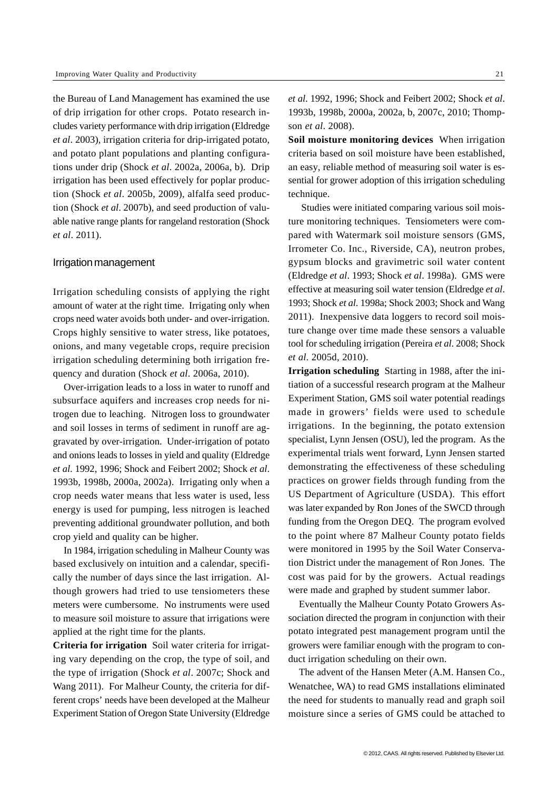the Bureau of Land Management has examined the use of drip irrigation for other crops. Potato research includes variety performance with drip irrigation (Eldredge *et al*. 2003), irrigation criteria for drip-irrigated potato, and potato plant populations and planting configurations under drip (Shock *et al*. 2002a, 2006a, b). Drip irrigation has been used effectively for poplar production (Shock *et al*. 2005b, 2009), alfalfa seed production (Shock *et al*. 2007b), and seed production of valuable native range plants for rangeland restoration (Shock *et al*. 2011).

#### Irrigation management

Irrigation scheduling consists of applying the right amount of water at the right time. Irrigating only when crops need water avoids both under- and over-irrigation. Crops highly sensitive to water stress, like potatoes, onions, and many vegetable crops, require precision irrigation scheduling determining both irrigation frequency and duration (Shock *et al*. 2006a, 2010).

Over-irrigation leads to a loss in water to runoff and subsurface aquifers and increases crop needs for nitrogen due to leaching. Nitrogen loss to groundwater and soil losses in terms of sediment in runoff are aggravated by over-irrigation. Under-irrigation of potato and onions leads to losses in yield and quality (Eldredge *et al*. 1992, 1996; Shock and Feibert 2002; Shock *et al*. 1993b, 1998b, 2000a, 2002a). Irrigating only when a crop needs water means that less water is used, less energy is used for pumping, less nitrogen is leached preventing additional groundwater pollution, and both crop yield and quality can be higher.

In 1984, irrigation scheduling in Malheur County was based exclusively on intuition and a calendar, specifically the number of days since the last irrigation. Although growers had tried to use tensiometers these meters were cumbersome. No instruments were used to measure soil moisture to assure that irrigations were applied at the right time for the plants.

**Criteria for irrigation** Soil water criteria for irrigating vary depending on the crop, the type of soil, and the type of irrigation (Shock *et al*. 2007c; Shock and Wang 2011). For Malheur County, the criteria for different crops' needs have been developed at the Malheur Experiment Station of Oregon State University (Eldredge

*et al*. 1992, 1996; Shock and Feibert 2002; Shock *et al*. 1993b, 1998b, 2000a, 2002a, b, 2007c, 2010; Thompson *et al*. 2008).

**Soil moisture monitoring devices** When irrigation criteria based on soil moisture have been established, an easy, reliable method of measuring soil water is essential for grower adoption of this irrigation scheduling technique.

 Studies were initiated comparing various soil moisture monitoring techniques. Tensiometers were compared with Watermark soil moisture sensors (GMS, Irrometer Co. Inc., Riverside, CA), neutron probes, gypsum blocks and gravimetric soil water content (Eldredge *et al*. 1993; Shock *et al*. 1998a). GMS were effective at measuring soil water tension (Eldredge *et al*. 1993; Shock *et al*. 1998a; Shock 2003; Shock and Wang 2011). Inexpensive data loggers to record soil moisture change over time made these sensors a valuable tool for scheduling irrigation (Pereira *et al*. 2008; Shock *et al*. 2005d, 2010).

**Irrigation scheduling** Starting in 1988, after the initiation of a successful research program at the Malheur Experiment Station, GMS soil water potential readings made in growers' fields were used to schedule irrigations. In the beginning, the potato extension specialist, Lynn Jensen (OSU), led the program. As the experimental trials went forward, Lynn Jensen started demonstrating the effectiveness of these scheduling practices on grower fields through funding from the US Department of Agriculture (USDA). This effort was later expanded by Ron Jones of the SWCD through funding from the Oregon DEQ. The program evolved to the point where 87 Malheur County potato fields were monitored in 1995 by the Soil Water Conservation District under the management of Ron Jones. The cost was paid for by the growers. Actual readings were made and graphed by student summer labor.

Eventually the Malheur County Potato Growers Association directed the program in conjunction with their potato integrated pest management program until the growers were familiar enough with the program to conduct irrigation scheduling on their own.

The advent of the Hansen Meter (A.M. Hansen Co., Wenatchee, WA) to read GMS installations eliminated the need for students to manually read and graph soil moisture since a series of GMS could be attached to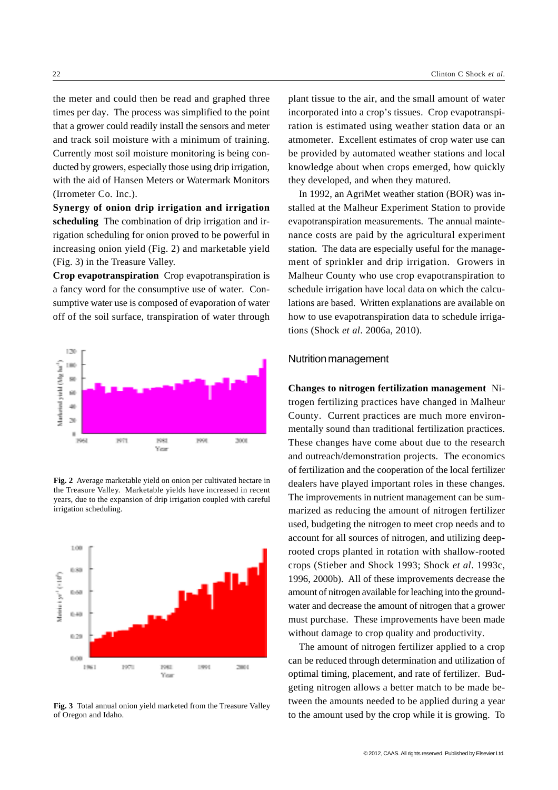the meter and could then be read and graphed three times per day. The process was simplified to the point that a grower could readily install the sensors and meter and track soil moisture with a minimum of training. Currently most soil moisture monitoring is being conducted by growers, especially those using drip irrigation, with the aid of Hansen Meters or Watermark Monitors (Irrometer Co. Inc.).

**Synergy of onion drip irrigation and irrigation scheduling** The combination of drip irrigation and irrigation scheduling for onion proved to be powerful in increasing onion yield (Fig. 2) and marketable yield (Fig. 3) in the Treasure Valley.

**Crop evapotranspiration** Crop evapotranspiration is a fancy word for the consumptive use of water. Consumptive water use is composed of evaporation of water off of the soil surface, transpiration of water through



**Fig. 2** Average marketable yield on onion per cultivated hectare in the Treasure Valley. Marketable yields have increased in recent years, due to the expansion of drip irrigation coupled with careful irrigation scheduling.



**Fig. 3** Total annual onion yield marketed from the Treasure Valley of Oregon and Idaho.

plant tissue to the air, and the small amount of water incorporated into a crop's tissues. Crop evapotranspiration is estimated using weather station data or an atmometer. Excellent estimates of crop water use can be provided by automated weather stations and local knowledge about when crops emerged, how quickly they developed, and when they matured.

In 1992, an AgriMet weather station (BOR) was installed at the Malheur Experiment Station to provide evapotranspiration measurements. The annual maintenance costs are paid by the agricultural experiment station. The data are especially useful for the management of sprinkler and drip irrigation. Growers in Malheur County who use crop evapotranspiration to schedule irrigation have local data on which the calculations are based. Written explanations are available on how to use evapotranspiration data to schedule irrigations (Shock *et al*. 2006a, 2010).

## Nutrition management

**Changes to nitrogen fertilization management** Nitrogen fertilizing practices have changed in Malheur County. Current practices are much more environmentally sound than traditional fertilization practices. These changes have come about due to the research and outreach/demonstration projects. The economics of fertilization and the cooperation of the local fertilizer dealers have played important roles in these changes. The improvements in nutrient management can be summarized as reducing the amount of nitrogen fertilizer used, budgeting the nitrogen to meet crop needs and to account for all sources of nitrogen, and utilizing deeprooted crops planted in rotation with shallow-rooted crops (Stieber and Shock 1993; Shock *et al*. 1993c, 1996, 2000b). All of these improvements decrease the amount of nitrogen available for leaching into the groundwater and decrease the amount of nitrogen that a grower must purchase. These improvements have been made without damage to crop quality and productivity.

The amount of nitrogen fertilizer applied to a crop can be reduced through determination and utilization of optimal timing, placement, and rate of fertilizer. Budgeting nitrogen allows a better match to be made between the amounts needed to be applied during a year to the amount used by the crop while it is growing. To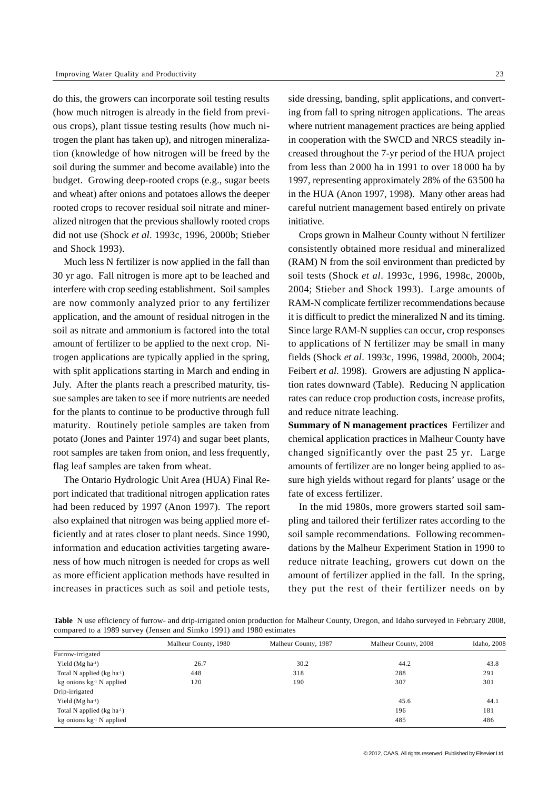do this, the growers can incorporate soil testing results (how much nitrogen is already in the field from previous crops), plant tissue testing results (how much nitrogen the plant has taken up), and nitrogen mineralization (knowledge of how nitrogen will be freed by the soil during the summer and become available) into the budget. Growing deep-rooted crops (e.g., sugar beets and wheat) after onions and potatoes allows the deeper rooted crops to recover residual soil nitrate and mineralized nitrogen that the previous shallowly rooted crops did not use (Shock *et al*. 1993c, 1996, 2000b; Stieber and Shock 1993).

Much less N fertilizer is now applied in the fall than 30 yr ago. Fall nitrogen is more apt to be leached and interfere with crop seeding establishment. Soil samples are now commonly analyzed prior to any fertilizer application, and the amount of residual nitrogen in the soil as nitrate and ammonium is factored into the total amount of fertilizer to be applied to the next crop. Nitrogen applications are typically applied in the spring, with split applications starting in March and ending in July. After the plants reach a prescribed maturity, tissue samples are taken to see if more nutrients are needed for the plants to continue to be productive through full maturity. Routinely petiole samples are taken from potato (Jones and Painter 1974) and sugar beet plants, root samples are taken from onion, and less frequently, flag leaf samples are taken from wheat.

The Ontario Hydrologic Unit Area (HUA) Final Report indicated that traditional nitrogen application rates had been reduced by 1997 (Anon 1997). The report also explained that nitrogen was being applied more efficiently and at rates closer to plant needs. Since 1990, information and education activities targeting awareness of how much nitrogen is needed for crops as well as more efficient application methods have resulted in increases in practices such as soil and petiole tests,

side dressing, banding, split applications, and converting from fall to spring nitrogen applications. The areas where nutrient management practices are being applied in cooperation with the SWCD and NRCS steadily increased throughout the 7-yr period of the HUA project from less than 2 000 ha in 1991 to over 18 000 ha by 1997, representing approximately 28% of the 63500 ha in the HUA (Anon 1997, 1998). Many other areas had careful nutrient management based entirely on private initiative.

Crops grown in Malheur County without N fertilizer consistently obtained more residual and mineralized (RAM) N from the soil environment than predicted by soil tests (Shock *et al*. 1993c, 1996, 1998c, 2000b, 2004; Stieber and Shock 1993). Large amounts of RAM-N complicate fertilizer recommendations because it is difficult to predict the mineralized N and its timing. Since large RAM-N supplies can occur, crop responses to applications of N fertilizer may be small in many fields (Shock *et al*. 1993c, 1996, 1998d, 2000b, 2004; Feibert *et al*. 1998). Growers are adjusting N application rates downward (Table). Reducing N application rates can reduce crop production costs, increase profits, and reduce nitrate leaching.

**Summary of N management practices** Fertilizer and chemical application practices in Malheur County have changed significantly over the past 25 yr. Large amounts of fertilizer are no longer being applied to assure high yields without regard for plants' usage or the fate of excess fertilizer.

In the mid 1980s, more growers started soil sampling and tailored their fertilizer rates according to the soil sample recommendations. Following recommendations by the Malheur Experiment Station in 1990 to reduce nitrate leaching, growers cut down on the amount of fertilizer applied in the fall. In the spring, they put the rest of their fertilizer needs on by

Table N use efficiency of furrow- and drip-irrigated onion production for Malheur County, Oregon, and Idaho surveyed in February 2008, compared to a 1989 survey (Jensen and Simko 1991) and 1980 estimates

|                             | Malheur County, 1980 | Malheur County, 1987 | Malheur County, 2008 | Idaho, 2008 |
|-----------------------------|----------------------|----------------------|----------------------|-------------|
| Furrow-irrigated            |                      |                      |                      |             |
| Yield $(Mg ha-1)$           | 26.7                 | 30.2                 | 44.2                 | 43.8        |
| Total N applied (kg ha-1)   | 448                  | 318                  | 288                  | 291         |
| kg onions $kg-1$ N applied  | 120                  | 190                  | 307                  | 301         |
| Drip-irrigated              |                      |                      |                      |             |
| Yield $(Mg ha^{-1})$        |                      |                      | 45.6                 | 44.1        |
| Total N applied $(kg ha-1)$ |                      |                      | 196                  | 181         |
| kg onions $kg-1$ N applied  |                      |                      | 485                  | 486         |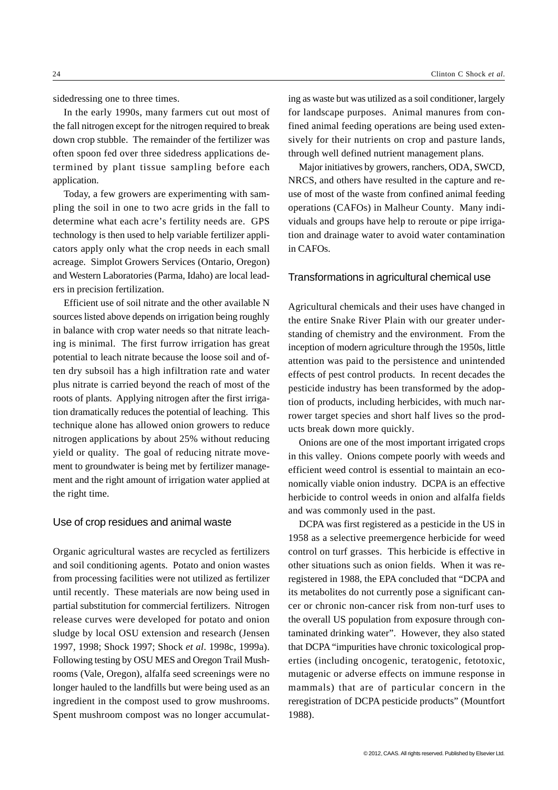sidedressing one to three times.

In the early 1990s, many farmers cut out most of the fall nitrogen except for the nitrogen required to break down crop stubble. The remainder of the fertilizer was often spoon fed over three sidedress applications determined by plant tissue sampling before each application.

Today, a few growers are experimenting with sampling the soil in one to two acre grids in the fall to determine what each acre's fertility needs are. GPS technology is then used to help variable fertilizer applicators apply only what the crop needs in each small acreage. Simplot Growers Services (Ontario, Oregon) and Western Laboratories (Parma, Idaho) are local leaders in precision fertilization.

Efficient use of soil nitrate and the other available N sources listed above depends on irrigation being roughly in balance with crop water needs so that nitrate leaching is minimal. The first furrow irrigation has great potential to leach nitrate because the loose soil and often dry subsoil has a high infiltration rate and water plus nitrate is carried beyond the reach of most of the roots of plants. Applying nitrogen after the first irrigation dramatically reduces the potential of leaching. This technique alone has allowed onion growers to reduce nitrogen applications by about 25% without reducing yield or quality. The goal of reducing nitrate movement to groundwater is being met by fertilizer management and the right amount of irrigation water applied at the right time.

## Use of crop residues and animal waste

Organic agricultural wastes are recycled as fertilizers and soil conditioning agents. Potato and onion wastes from processing facilities were not utilized as fertilizer until recently. These materials are now being used in partial substitution for commercial fertilizers. Nitrogen release curves were developed for potato and onion sludge by local OSU extension and research (Jensen 1997, 1998; Shock 1997; Shock *et al*. 1998c, 1999a). Following testing by OSU MES and Oregon Trail Mushrooms (Vale, Oregon), alfalfa seed screenings were no longer hauled to the landfills but were being used as an ingredient in the compost used to grow mushrooms. Spent mushroom compost was no longer accumulating as waste but was utilized as a soil conditioner, largely for landscape purposes. Animal manures from confined animal feeding operations are being used extensively for their nutrients on crop and pasture lands, through well defined nutrient management plans.

Major initiatives by growers, ranchers, ODA, SWCD, NRCS, and others have resulted in the capture and reuse of most of the waste from confined animal feeding operations (CAFOs) in Malheur County. Many individuals and groups have help to reroute or pipe irrigation and drainage water to avoid water contamination in CAFOs.

## Transformations in agricultural chemical use

Agricultural chemicals and their uses have changed in the entire Snake River Plain with our greater understanding of chemistry and the environment. From the inception of modern agriculture through the 1950s, little attention was paid to the persistence and unintended effects of pest control products. In recent decades the pesticide industry has been transformed by the adoption of products, including herbicides, with much narrower target species and short half lives so the products break down more quickly.

Onions are one of the most important irrigated crops in this valley. Onions compete poorly with weeds and efficient weed control is essential to maintain an economically viable onion industry. DCPA is an effective herbicide to control weeds in onion and alfalfa fields and was commonly used in the past.

DCPA was first registered as a pesticide in the US in 1958 as a selective preemergence herbicide for weed control on turf grasses. This herbicide is effective in other situations such as onion fields. When it was reregistered in 1988, the EPA concluded that "DCPA and its metabolites do not currently pose a significant cancer or chronic non-cancer risk from non-turf uses to the overall US population from exposure through contaminated drinking water". However, they also stated that DCPA "impurities have chronic toxicological properties (including oncogenic, teratogenic, fetotoxic, mutagenic or adverse effects on immune response in mammals) that are of particular concern in the reregistration of DCPA pesticide products" (Mountfort 1988).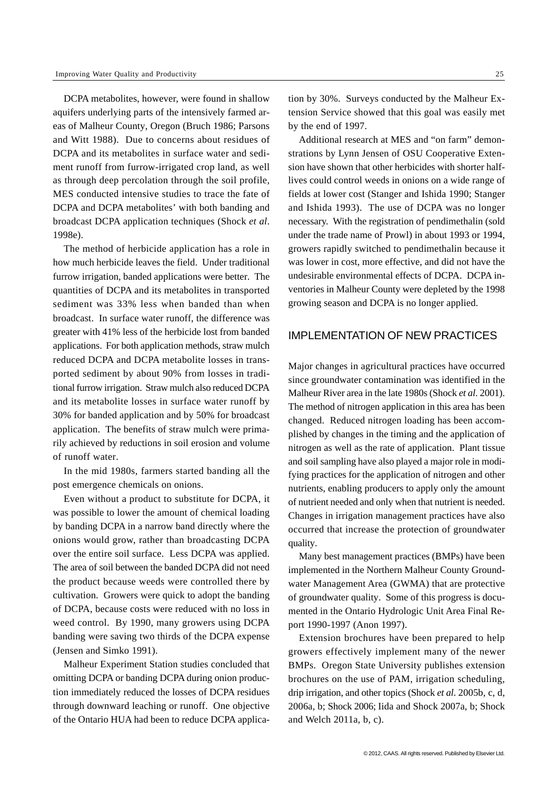DCPA metabolites, however, were found in shallow aquifers underlying parts of the intensively farmed areas of Malheur County, Oregon (Bruch 1986; Parsons and Witt 1988). Due to concerns about residues of DCPA and its metabolites in surface water and sediment runoff from furrow-irrigated crop land, as well as through deep percolation through the soil profile, MES conducted intensive studies to trace the fate of DCPA and DCPA metabolites' with both banding and broadcast DCPA application techniques (Shock *et al*. 1998e).

The method of herbicide application has a role in how much herbicide leaves the field. Under traditional furrow irrigation, banded applications were better. The quantities of DCPA and its metabolites in transported sediment was 33% less when banded than when broadcast. In surface water runoff, the difference was greater with 41% less of the herbicide lost from banded applications. For both application methods, straw mulch reduced DCPA and DCPA metabolite losses in transported sediment by about 90% from losses in traditional furrow irrigation. Straw mulch also reduced DCPA and its metabolite losses in surface water runoff by 30% for banded application and by 50% for broadcast application. The benefits of straw mulch were primarily achieved by reductions in soil erosion and volume of runoff water.

In the mid 1980s, farmers started banding all the post emergence chemicals on onions.

Even without a product to substitute for DCPA, it was possible to lower the amount of chemical loading by banding DCPA in a narrow band directly where the onions would grow, rather than broadcasting DCPA over the entire soil surface. Less DCPA was applied. The area of soil between the banded DCPA did not need the product because weeds were controlled there by cultivation. Growers were quick to adopt the banding of DCPA, because costs were reduced with no loss in weed control. By 1990, many growers using DCPA banding were saving two thirds of the DCPA expense (Jensen and Simko 1991).

Malheur Experiment Station studies concluded that omitting DCPA or banding DCPA during onion production immediately reduced the losses of DCPA residues through downward leaching or runoff. One objective of the Ontario HUA had been to reduce DCPA applica-

tion by 30%. Surveys conducted by the Malheur Extension Service showed that this goal was easily met by the end of 1997.

Additional research at MES and "on farm" demonstrations by Lynn Jensen of OSU Cooperative Extension have shown that other herbicides with shorter halflives could control weeds in onions on a wide range of fields at lower cost (Stanger and Ishida 1990; Stanger and Ishida 1993). The use of DCPA was no longer necessary. With the registration of pendimethalin (sold under the trade name of Prowl) in about 1993 or 1994, growers rapidly switched to pendimethalin because it was lower in cost, more effective, and did not have the undesirable environmental effects of DCPA. DCPA inventories in Malheur County were depleted by the 1998 growing season and DCPA is no longer applied.

# IMPLEMENTATION OF NEW PRACTICES

Major changes in agricultural practices have occurred since groundwater contamination was identified in the Malheur River area in the late 1980s (Shock *et al*. 2001). The method of nitrogen application in this area has been changed. Reduced nitrogen loading has been accomplished by changes in the timing and the application of nitrogen as well as the rate of application. Plant tissue and soil sampling have also played a major role in modifying practices for the application of nitrogen and other nutrients, enabling producers to apply only the amount of nutrient needed and only when that nutrient is needed. Changes in irrigation management practices have also occurred that increase the protection of groundwater quality.

Many best management practices (BMPs) have been implemented in the Northern Malheur County Groundwater Management Area (GWMA) that are protective of groundwater quality. Some of this progress is documented in the Ontario Hydrologic Unit Area Final Report 1990-1997 (Anon 1997).

Extension brochures have been prepared to help growers effectively implement many of the newer BMPs. Oregon State University publishes extension brochures on the use of PAM, irrigation scheduling, drip irrigation, and other topics (Shock *et al*. 2005b, c, d, 2006a, b; Shock 2006; Iida and Shock 2007a, b; Shock and Welch 2011a, b, c).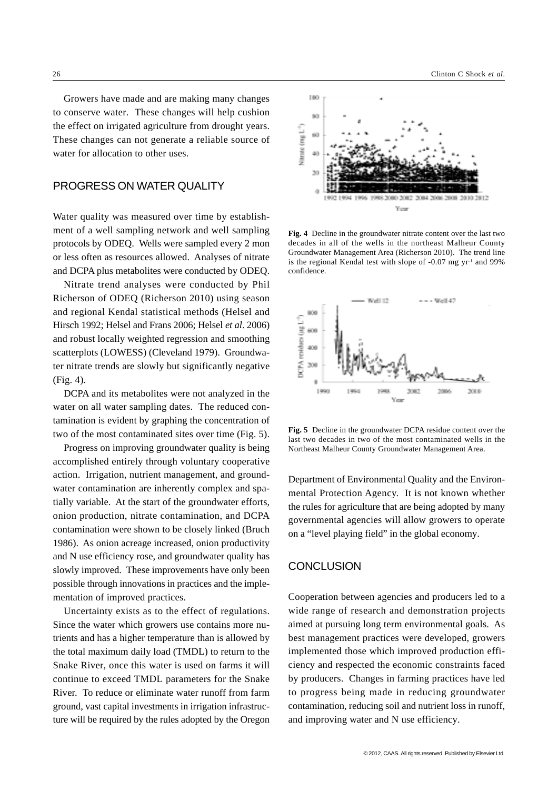Growers have made and are making many changes to conserve water. These changes will help cushion the effect on irrigated agriculture from drought years. These changes can not generate a reliable source of water for allocation to other uses.

# PROGRESS ON WATER QUALITY

Water quality was measured over time by establishment of a well sampling network and well sampling protocols by ODEQ. Wells were sampled every 2 mon or less often as resources allowed. Analyses of nitrate and DCPA plus metabolites were conducted by ODEQ.

Nitrate trend analyses were conducted by Phil Richerson of ODEQ (Richerson 2010) using season and regional Kendal statistical methods (Helsel and Hirsch 1992; Helsel and Frans 2006; Helsel *et al*. 2006) and robust locally weighted regression and smoothing scatterplots (LOWESS) (Cleveland 1979). Groundwater nitrate trends are slowly but significantly negative (Fig. 4).

DCPA and its metabolites were not analyzed in the water on all water sampling dates. The reduced contamination is evident by graphing the concentration of two of the most contaminated sites over time (Fig. 5).

Progress on improving groundwater quality is being accomplished entirely through voluntary cooperative action. Irrigation, nutrient management, and groundwater contamination are inherently complex and spatially variable. At the start of the groundwater efforts, onion production, nitrate contamination, and DCPA contamination were shown to be closely linked (Bruch 1986). As onion acreage increased, onion productivity and N use efficiency rose, and groundwater quality has slowly improved. These improvements have only been possible through innovations in practices and the implementation of improved practices.

Uncertainty exists as to the effect of regulations. Since the water which growers use contains more nutrients and has a higher temperature than is allowed by the total maximum daily load (TMDL) to return to the Snake River, once this water is used on farms it will continue to exceed TMDL parameters for the Snake River. To reduce or eliminate water runoff from farm ground, vast capital investments in irrigation infrastructure will be required by the rules adopted by the Oregon



**Fig. 4** Decline in the groundwater nitrate content over the last two decades in all of the wells in the northeast Malheur County Groundwater Management Area (Richerson 2010). The trend line is the regional Kendal test with slope of -0.07 mg yr-1 and 99% confidence.



**Fig. 5** Decline in the groundwater DCPA residue content over the last two decades in two of the most contaminated wells in the Northeast Malheur County Groundwater Management Area.

Department of Environmental Quality and the Environmental Protection Agency. It is not known whether the rules for agriculture that are being adopted by many governmental agencies will allow growers to operate on a "level playing field" in the global economy.

## **CONCLUSION**

Cooperation between agencies and producers led to a wide range of research and demonstration projects aimed at pursuing long term environmental goals. As best management practices were developed, growers implemented those which improved production efficiency and respected the economic constraints faced by producers. Changes in farming practices have led to progress being made in reducing groundwater contamination, reducing soil and nutrient loss in runoff, and improving water and N use efficiency.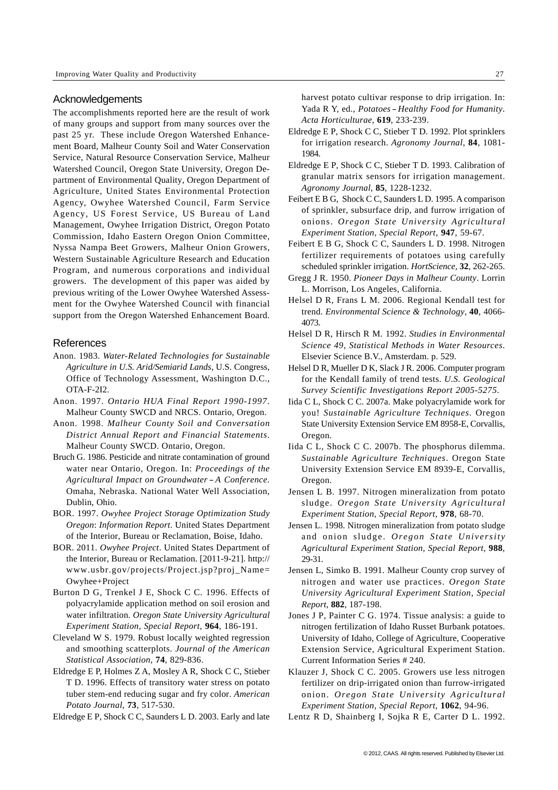#### **Acknowledgements**

The accomplishments reported here are the result of work of many groups and support from many sources over the past 25 yr. These include Oregon Watershed Enhancement Board, Malheur County Soil and Water Conservation Service, Natural Resource Conservation Service, Malheur Watershed Council, Oregon State University, Oregon Department of Environmental Quality, Oregon Department of Agriculture, United States Environmental Protection Agency, Owyhee Watershed Council, Farm Service Agency, US Forest Service, US Bureau of Land Management, Owyhee Irrigation District, Oregon Potato Commission, Idaho Eastern Oregon Onion Committee, Nyssa Nampa Beet Growers, Malheur Onion Growers, Western Sustainable Agriculture Research and Education Program, and numerous corporations and individual growers. The development of this paper was aided by previous writing of the Lower Owyhee Watershed Assessment for the Owyhee Watershed Council with financial support from the Oregon Watershed Enhancement Board.

#### **References**

- Anon. 1983. *Water-Related Technologies for Sustainable Agriculture in U.S. Arid/Semiarid Lands*, U.S. Congress, Office of Technology Assessment, Washington D.C., OTA-F-2I2.
- Anon. 1997. *Ontario HUA Final Report 1990-1997*. Malheur County SWCD and NRCS. Ontario, Oregon.
- Anon. 1998. *Malheur County Soil and Conversation District Annual Report and Financial Statements*. Malheur County SWCD. Ontario, Oregon.
- Bruch G. 1986. Pesticide and nitrate contamination of ground water near Ontario, Oregon. In: *Proceedings of the Agricultural Impact on Groundwater- A Conference*. Omaha, Nebraska. National Water Well Association, Dublin, Ohio.
- BOR. 1997. *Owyhee Project Storage Optimization Study Oregon*: *Information Report*. United States Department of the Interior, Bureau or Reclamation, Boise, Idaho.
- BOR. 2011. *Owyhee Project*. United States Department of the Interior, Bureau or Reclamation. [2011-9-21]. http:// www.usbr.gov/projects/Project.jsp?proj\_Name= Owyhee+Project
- Burton D G, Trenkel J E, Shock C C. 1996. Effects of polyacrylamide application method on soil erosion and water infiltration. *Oregon State University Agricultural Experiment Station, Special Report*, **964**, 186-191.
- Cleveland W S. 1979. Robust locally weighted regression and smoothing scatterplots. *Journal of the American Statistical Association*, **74**, 829-836.
- Eldredge E P, Holmes Z A, Mosley A R, Shock C C, Stieber T D. 1996. Effects of transitory water stress on potato tuber stem-end reducing sugar and fry color. *American Potato Journal*, **73**, 517-530.
- Eldredge E P, Shock C C, Saunders L D. 2003. Early and late

harvest potato cultivar response to drip irrigation. In: Yada R Y, ed., *Potatoes-Healthy Food for Humanity*. *Acta Horticulturae*, **619**, 233-239.

- Eldredge E P, Shock C C, Stieber T D. 1992. Plot sprinklers for irrigation research. *Agronomy Journal*, **84**, 1081- 1984.
- Eldredge E P, Shock C C, Stieber T D. 1993. Calibration of granular matrix sensors for irrigation management. *Agronomy Journal*, **85**, 1228-1232.
- Feibert E B G, Shock C C, Saunders L D. 1995. A comparison of sprinkler, subsurface drip, and furrow irrigation of onions. *Oregon State University Agricultural Experiment Station, Special Report*, **947**, 59-67.
- Feibert E B G, Shock C C, Saunders L D. 1998. Nitrogen fertilizer requirements of potatoes using carefully scheduled sprinkler irrigation. *HortScience*, **32**, 262-265.
- Gregg J R. 1950. *Pioneer Days in Malheur County*. Lorrin L. Morrison, Los Angeles, California.
- Helsel D R, Frans L M. 2006. Regional Kendall test for trend. *Environmental Science & Technology*, **40**, 4066- 4073.
- Helsel D R, Hirsch R M. 1992. *Studies in Environmental Science 49, Statistical Methods in Water Resources*. Elsevier Science B.V., Amsterdam. p. 529.
- Helsel D R, Mueller D K, Slack J R. 2006. Computer program for the Kendall family of trend tests. *U.S. Geological Survey Scientific Investigations Report 2005-5275*.
- Iida C L, Shock C C. 2007a. Make polyacrylamide work for you! *Sustainable Agriculture Techniques*. Oregon State University Extension Service EM 8958-E, Corvallis, Oregon.
- Iida C L, Shock C C. 2007b. The phosphorus dilemma. *Sustainable Agriculture Techniques*. Oregon State University Extension Service EM 8939-E, Corvallis, Oregon.
- Jensen L B. 1997. Nitrogen mineralization from potato sludge. *Oregon State University Agricultural Experiment Station, Special Report*, **978**, 68-70.
- Jensen L. 1998. Nitrogen mineralization from potato sludge and onion sludge. *Oregon State University Agricultural Experiment Station, Special Report*, **988**, 29-31.
- Jensen L, Simko B. 1991. Malheur County crop survey of nitrogen and water use practices. *Oregon State University Agricultural Experiment Station, Special Report*, **882**, 187-198.
- Jones J P, Painter C G. 1974. Tissue analysis: a guide to nitrogen fertilization of Idaho Russet Burbank potatoes. University of Idaho, College of Agriculture, Cooperative Extension Service, Agricultural Experiment Station. Current Information Series # 240.
- Klauzer J, Shock C C. 2005. Growers use less nitrogen fertilizer on drip-irrigated onion than furrow-irrigated onion. *Oregon State University Agricultural Experiment Station, Special Report*, **1062**, 94-96.
- Lentz R D, Shainberg I, Sojka R E, Carter D L. 1992.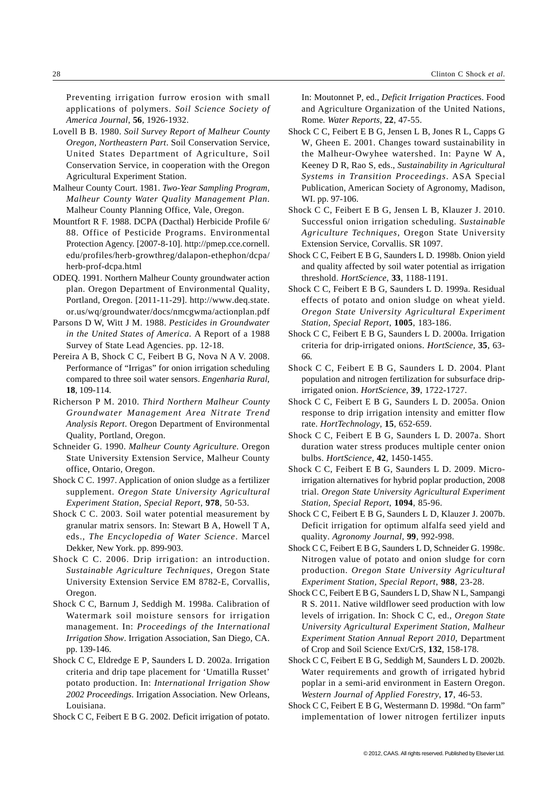Preventing irrigation furrow erosion with small applications of polymers. *Soil Science Society of America Journal*, **56**, 1926-1932.

- Lovell B B. 1980. *Soil Survey Report of Malheur County Oregon, Northeastern Part*. Soil Conservation Service, United States Department of Agriculture, Soil Conservation Service, in cooperation with the Oregon Agricultural Experiment Station.
- Malheur County Court. 1981. *Two-Year Sampling Program, Malheur County Water Quality Management Plan*. Malheur County Planning Office, Vale, Oregon.
- Mountfort R F. 1988. DCPA (Dacthal) Herbicide Profile 6/ 88. Office of Pesticide Programs. Environmental Protection Agency. [2007-8-10]. http://pmep.cce.cornell. edu/profiles/herb-growthreg/dalapon-ethephon/dcpa/ herb-prof-dcpa.html
- ODEQ. 1991. Northern Malheur County groundwater action plan. Oregon Department of Environmental Quality, Portland, Oregon. [2011-11-29]. http://www.deq.state. or.us/wq/groundwater/docs/nmcgwma/actionplan.pdf
- Parsons D W, Witt J M. 1988. *Pesticides in Groundwater in the United States of America*. A Report of a 1988 Survey of State Lead Agencies. pp. 12-18.
- Pereira A B, Shock C C, Feibert B G, Nova N A V. 2008. Performance of "Irrigas" for onion irrigation scheduling compared to three soil water sensors. *Engenharia Rural*, **18**, 109-114.
- Richerson P M. 2010. *Third Northern Malheur County Groundwater Management Area Nitrate Trend Analysis Report*. Oregon Department of Environmental Quality, Portland, Oregon.
- Schneider G. 1990. *Malheur County Agriculture.* Oregon State University Extension Service, Malheur County office, Ontario, Oregon.
- Shock C C. 1997. Application of onion sludge as a fertilizer supplement. *Oregon State University Agricultural Experiment Station, Special Report*, **978**, 50-53.
- Shock C C. 2003. Soil water potential measurement by granular matrix sensors. In: Stewart B A, Howell T A, eds., *The Encyclopedia of Water Science*. Marcel Dekker, New York. pp. 899-903.
- Shock C C. 2006. Drip irrigation: an introduction. *Sustainable Agriculture Techniques*, Oregon State University Extension Service EM 8782-E, Corvallis, Oregon.
- Shock C C, Barnum J, Seddigh M. 1998a. Calibration of Watermark soil moisture sensors for irrigation management. In: *Proceedings of the International Irrigation Show*. Irrigation Association, San Diego, CA. pp. 139-146.
- Shock C C, Eldredge E P, Saunders L D. 2002a. Irrigation criteria and drip tape placement for 'Umatilla Russet' potato production. In: *International Irrigation Show 2002 Proceedings*. Irrigation Association. New Orleans, Louisiana.
- Shock C C, Feibert E B G. 2002. Deficit irrigation of potato.

In: Moutonnet P, ed., *Deficit Irrigation Practice*s. Food and Agriculture Organization of the United Nations, Rome*. Water Reports*, **22**, 47-55.

- Shock C C, Feibert E B G, Jensen L B, Jones R L, Capps G W, Gheen E. 2001. Changes toward sustainability in the Malheur-Owyhee watershed. In: Payne W A, Keeney D R, Rao S, eds., *Sustainability in Agricultural Systems in Transition Proceedings*. ASA Special Publication, American Society of Agronomy, Madison, WI. pp. 97-106.
- Shock C C, Feibert E B G, Jensen L B, Klauzer J. 2010. Successful onion irrigation scheduling. *Sustainable Agriculture Techniques*, Oregon State University Extension Service, Corvallis. SR 1097.
- Shock C C, Feibert E B G, Saunders L D. 1998b. Onion yield and quality affected by soil water potential as irrigation threshold. *HortScience*, **33**, 1188-1191.
- Shock C C, Feibert E B G, Saunders L D. 1999a. Residual effects of potato and onion sludge on wheat yield. *Oregon State University Agricultural Experiment Station, Special Report*, **1005**, 183-186.
- Shock C C, Feibert E B G, Saunders L D. 2000a. Irrigation criteria for drip-irrigated onions. *HortScience*, **35**, 63- 66.
- Shock C C, Feibert E B G, Saunders L D. 2004. Plant population and nitrogen fertilization for subsurface dripirrigated onion. *HortScience*, **39**, 1722-1727.
- Shock C C, Feibert E B G, Saunders L D. 2005a. Onion response to drip irrigation intensity and emitter flow rate. *HortTechnology*, **15**, 652-659.
- Shock C C, Feibert E B G, Saunders L D. 2007a. Short duration water stress produces multiple center onion bulbs. *HortScience*, **42**, 1450-1455.
- Shock C C, Feibert E B G, Saunders L D. 2009. Microirrigation alternatives for hybrid poplar production, 2008 trial. *Oregon State University Agricultural Experiment Station, Special Report*, **1094**, 85-96.
- Shock C C, Feibert E B G, Saunders L D, Klauzer J. 2007b. Deficit irrigation for optimum alfalfa seed yield and quality. *Agronomy Journal*, **99**, 992-998.
- Shock C C, Feibert E B G, Saunders L D, Schneider G. 1998c. Nitrogen value of potato and onion sludge for corn production. *Oregon State University Agricultural Experiment Station, Special Report*, **988**, 23-28.
- Shock C C, Feibert E B G, Saunders L D, Shaw N L, Sampangi R S. 2011. Native wildflower seed production with low levels of irrigation. In: Shock C C, ed., *Oregon State University Agricultural Experiment Station, Malheur Experiment Station Annual Report 2010*, Department of Crop and Soil Science Ext/CrS, **132**, 158-178.
- Shock C C, Feibert E B G, Seddigh M, Saunders L D. 2002b. Water requirements and growth of irrigated hybrid poplar in a semi-arid environment in Eastern Oregon. *Western Journal of Applied Forestry*, **17**, 46-53.
- Shock C C, Feibert E B G, Westermann D. 1998d. "On farm" implementation of lower nitrogen fertilizer inputs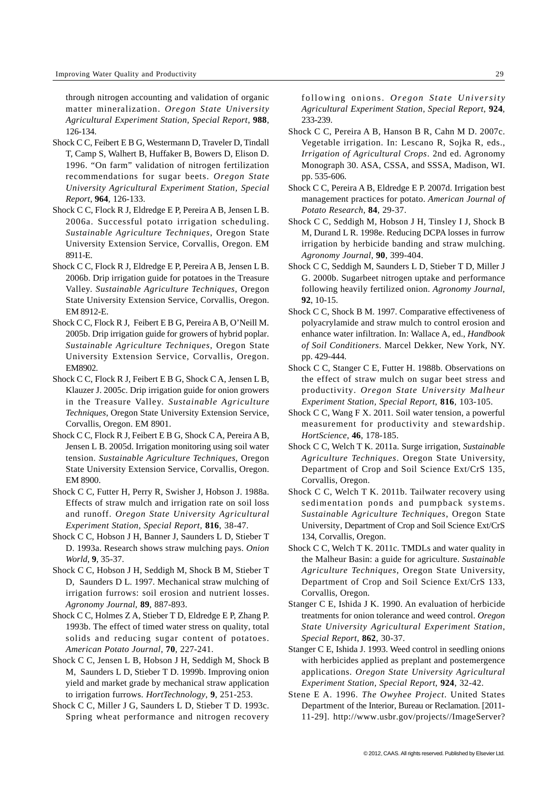through nitrogen accounting and validation of organic matter mineralization. *Oregon State University Agricultural Experiment Station, Special Report*, **988**, 126-134.

- Shock C C, Feibert E B G, Westermann D, Traveler D, Tindall T, Camp S, Walhert B, Huffaker B, Bowers D, Elison D. 1996. "On farm" validation of nitrogen fertilization recommendations for sugar beets. *Oregon State University Agricultural Experiment Station, Special Report*, **964**, 126-133.
- Shock C C, Flock R J, Eldredge E P, Pereira A B, Jensen L B. 2006a. Successful potato irrigation scheduling. *Sustainable Agriculture Techniques*, Oregon State University Extension Service, Corvallis, Oregon. EM 8911-E.
- Shock C C, Flock R J, Eldredge E P, Pereira A B, Jensen L B. 2006b. Drip irrigation guide for potatoes in the Treasure Valley. *Sustainable Agriculture Techniques*, Oregon State University Extension Service, Corvallis, Oregon. EM 8912-E.
- Shock C C, Flock R J, Feibert E B G, Pereira A B, O'Neill M. 2005b. Drip irrigation guide for growers of hybrid poplar. *Sustainable Agriculture Techniques*, Oregon State University Extension Service, Corvallis, Oregon. EM8902.
- Shock C C, Flock R J, Feibert E B G, Shock C A, Jensen L B, Klauzer J. 2005c. Drip irrigation guide for onion growers in the Treasure Valley. *Sustainable Agriculture Techniques*, Oregon State University Extension Service, Corvallis, Oregon. EM 8901.
- Shock C C, Flock R J, Feibert E B G, Shock C A, Pereira A B, Jensen L B. 2005d. Irrigation monitoring using soil water tension. *Sustainable Agriculture Techniques*, Oregon State University Extension Service, Corvallis, Oregon. EM 8900.
- Shock C C, Futter H, Perry R, Swisher J, Hobson J. 1988a. Effects of straw mulch and irrigation rate on soil loss and runoff. *Oregon State University Agricultural Experiment Station, Special Report*, **816**, 38-47.
- Shock C C, Hobson J H, Banner J, Saunders L D, Stieber T D. 1993a. Research shows straw mulching pays. *Onion World*, **9**, 35-37.
- Shock C C, Hobson J H, Seddigh M, Shock B M, Stieber T D, Saunders D L. 1997. Mechanical straw mulching of irrigation furrows: soil erosion and nutrient losses. *Agronomy Journal*, **89**, 887-893.
- Shock C C, Holmes Z A, Stieber T D, Eldredge E P, Zhang P. 1993b. The effect of timed water stress on quality, total solids and reducing sugar content of potatoes. *American Potato Journal*, **70**, 227-241.
- Shock C C, Jensen L B, Hobson J H, Seddigh M, Shock B M, Saunders L D, Stieber T D. 1999b. Improving onion yield and market grade by mechanical straw application to irrigation furrows. *HortTechnology*, **9**, 251-253.
- Shock C C, Miller J G, Saunders L D, Stieber T D. 1993c. Spring wheat performance and nitrogen recovery

following onions. *Oregon State University Agricultural Experiment Station, Special Report*, **924**, 233-239.

- Shock C C, Pereira A B, Hanson B R, Cahn M D. 2007c. Vegetable irrigation. In: Lescano R, Sojka R, eds., *Irrigation of Agricultural Crops*. 2nd ed. Agronomy Monograph 30. ASA, CSSA, and SSSA, Madison, WI. pp. 535-606.
- Shock C C, Pereira A B, Eldredge E P. 2007d. Irrigation best management practices for potato. *American Journal of Potato Research*, **84**, 29-37.
- Shock C C, Seddigh M, Hobson J H, Tinsley I J, Shock B M, Durand L R. 1998e. Reducing DCPA losses in furrow irrigation by herbicide banding and straw mulching. *Agronomy Journal*, **90**, 399-404.
- Shock C C, Seddigh M, Saunders L D, Stieber T D, Miller J G. 2000b. Sugarbeet nitrogen uptake and performance following heavily fertilized onion. *Agronomy Journal*, **92**, 10-15.
- Shock C C, Shock B M. 1997. Comparative effectiveness of polyacrylamide and straw mulch to control erosion and enhance water infiltration. In: Wallace A, ed., *Handbook of Soil Conditioners*. Marcel Dekker, New York, NY. pp. 429-444.
- Shock C C, Stanger C E, Futter H. 1988b. Observations on the effect of straw mulch on sugar beet stress and productivity. *Oregon State University Malheur Experiment Station, Special Report*, **816**, 103-105.
- Shock C C, Wang F X. 2011. Soil water tension, a powerful measurement for productivity and stewardship. *HortScience*, **46**, 178-185.
- Shock C C, Welch T K. 2011a. Surge irrigation, *Sustainable Agriculture Techniques*. Oregon State University, Department of Crop and Soil Science Ext/CrS 135, Corvallis, Oregon.
- Shock C C, Welch T K. 2011b. Tailwater recovery using sedimentation ponds and pumpback systems. *Sustainable Agriculture Techniques*, Oregon State University, Department of Crop and Soil Science Ext/CrS 134, Corvallis, Oregon.
- Shock C C, Welch T K. 2011c. TMDLs and water quality in the Malheur Basin: a guide for agriculture. *Sustainable Agriculture Techniques*, Oregon State University, Department of Crop and Soil Science Ext/CrS 133, Corvallis, Oregon.
- Stanger C E, Ishida J K. 1990. An evaluation of herbicide treatments for onion tolerance and weed control. *Oregon State University Agricultural Experiment Station, Special Report*, **862**, 30-37.
- Stanger C E, Ishida J. 1993. Weed control in seedling onions with herbicides applied as preplant and postemergence applications. *Oregon State University Agricultural Experiment Station, Special Report*, **924**, 32-42.
- Stene E A. 1996. *The Owyhee Project*. United States Department of the Interior, Bureau or Reclamation. [2011- 11-29]. http://www.usbr.gov/projects//ImageServer?